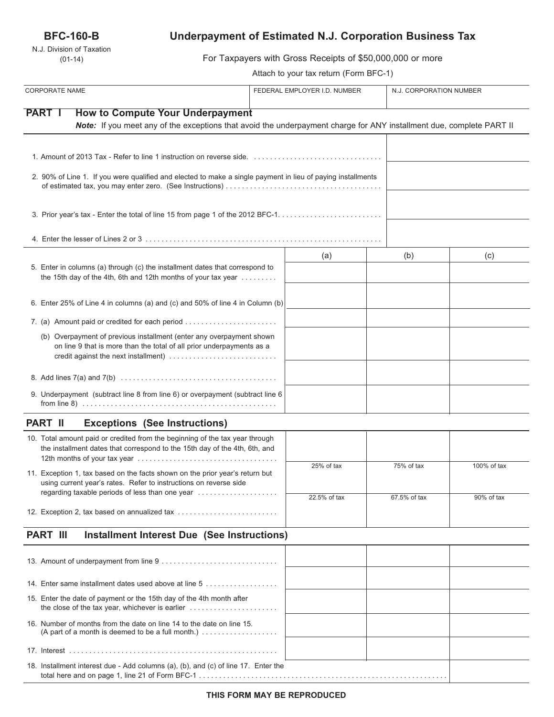## **BFC-160-B**

N.J. Division of Taxation (01-14)

# **Underpayment of Estimated N.J. Corporation Business Tax**

For Taxpayers with Gross Receipts of \$50,000,000 or more

Attach to your tax return (Form BFC-1)

| <b>CORPORATE NAME</b>                                                                                                                                                                 |                                                                                                                                                                 | FEDERAL EMPLOYER I.D. NUMBER |              | N.J. CORPORATION NUMBER |  |
|---------------------------------------------------------------------------------------------------------------------------------------------------------------------------------------|-----------------------------------------------------------------------------------------------------------------------------------------------------------------|------------------------------|--------------|-------------------------|--|
| <b>PART I</b>                                                                                                                                                                         | <b>How to Compute Your Underpayment</b>                                                                                                                         |                              |              |                         |  |
|                                                                                                                                                                                       | Note: If you meet any of the exceptions that avoid the underpayment charge for ANY installment due, complete PART II                                            |                              |              |                         |  |
|                                                                                                                                                                                       |                                                                                                                                                                 |                              |              |                         |  |
|                                                                                                                                                                                       | 2. 90% of Line 1. If you were qualified and elected to make a single payment in lieu of paying installments                                                     |                              |              |                         |  |
|                                                                                                                                                                                       |                                                                                                                                                                 |                              |              |                         |  |
|                                                                                                                                                                                       |                                                                                                                                                                 |                              |              |                         |  |
| 5. Enter in columns (a) through (c) the installment dates that correspond to<br>the 15th day of the 4th, 6th and 12th months of your tax year                                         |                                                                                                                                                                 | (a)                          | (b)          | (c)                     |  |
|                                                                                                                                                                                       | 6. Enter 25% of Line 4 in columns (a) and (c) and 50% of line 4 in Column (b)                                                                                   |                              |              |                         |  |
|                                                                                                                                                                                       | 7. (a) Amount paid or credited for each period                                                                                                                  |                              |              |                         |  |
| (b) Overpayment of previous installment (enter any overpayment shown<br>on line 9 that is more than the total of all prior underpayments as a<br>credit against the next installment) |                                                                                                                                                                 |                              |              |                         |  |
|                                                                                                                                                                                       |                                                                                                                                                                 |                              |              |                         |  |
|                                                                                                                                                                                       | 9. Underpayment (subtract line 8 from line 6) or overpayment (subtract line 6                                                                                   |                              |              |                         |  |
| <b>PART II</b>                                                                                                                                                                        | <b>Exceptions (See Instructions)</b>                                                                                                                            |                              |              |                         |  |
| 10. Total amount paid or credited from the beginning of the tax year through<br>the installment dates that correspond to the 15th day of the 4th, 6th, and                            |                                                                                                                                                                 |                              |              |                         |  |
| 11. Exception 1, tax based on the facts shown on the prior year's return but<br>using current vear's rates. Refer to instructions on reverse side                                     |                                                                                                                                                                 | 25% of tax                   | 75% of tax   | 100% of tax             |  |
|                                                                                                                                                                                       | regarding taxable periods of less than one year                                                                                                                 | 22.5% of tax                 | 67.5% of tax | 90% of tax              |  |
|                                                                                                                                                                                       | 12. Exception 2, tax based on annualized tax                                                                                                                    |                              |              |                         |  |
| <b>PART III</b>                                                                                                                                                                       | <b>Installment Interest Due (See Instructions)</b>                                                                                                              |                              |              |                         |  |
|                                                                                                                                                                                       |                                                                                                                                                                 |                              |              |                         |  |
|                                                                                                                                                                                       | 14. Enter same installment dates used above at line 5                                                                                                           |                              |              |                         |  |
|                                                                                                                                                                                       | 15. Enter the date of payment or the 15th day of the 4th month after                                                                                            |                              |              |                         |  |
|                                                                                                                                                                                       | 16. Number of months from the date on line 14 to the date on line 15.<br>(A part of a month is deemed to be a full month.) $\ldots \ldots \ldots \ldots \ldots$ |                              |              |                         |  |
|                                                                                                                                                                                       |                                                                                                                                                                 |                              |              |                         |  |
|                                                                                                                                                                                       | 18. Installment interest due - Add columns (a), (b), and (c) of line 17. Enter the                                                                              |                              |              |                         |  |

total here and on page 1, line 21 of Form BFC-1 . . . . . . . . . . . . . . . . . . . . . . . . . . . . . . . . . . . . . . . . . . . . . . . . . . . . . . . . . . . . . .